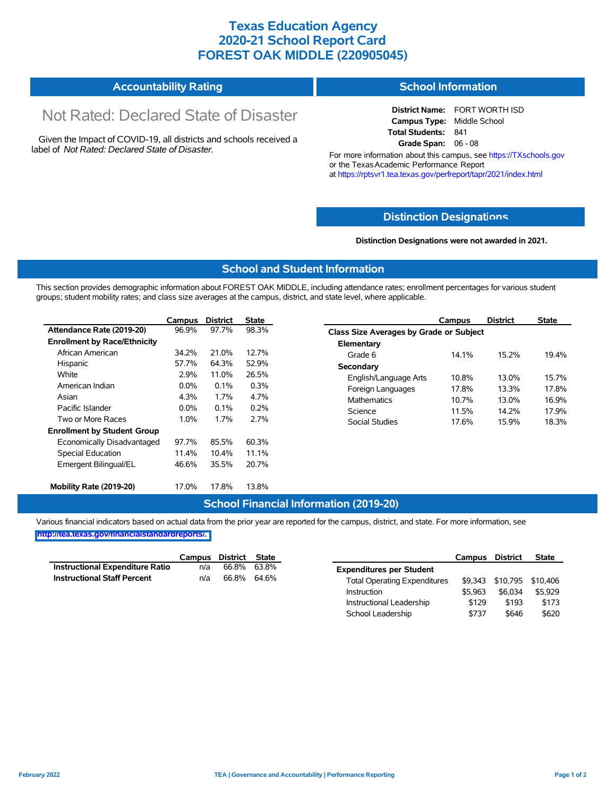## **Texas Education Agency 2020-21 School Report Card FOREST OAK MIDDLE (220905045)**

#### **Accountability Rating School Information**

# Not Rated: Declared State of Disaster

Given the Impact of COVID-19, all districts and schools received a label of *Not Rated: Declared State of Disaster.*

**District Name:** FORT WORTH ISD **Campus Type:** Middle School **Total Students:** 841 **Grade Span:** 06 - 08

For more information about this campus, see https://TXschools.gov or the Texas Academic Performance Report at https://rptsvr1.tea.texas.gov/perfreport/tapr/2021/index.html

#### **Distinction Designat[ions](https://TXschools.gov)**

**Distinction Designations were not awarded in 2021.**

School Leadership  $$737$  \$646 \$620

#### **School and Student Information**

This section provides demographic information about FOREST OAK MIDDLE, including attendance rates; enrollment percentages for various student groups; student mobility rates; and class size averages at the campus, district, and state level, where applicable.

|                                     | Campus  | <b>District</b> | <b>State</b> |                       | Campus                                  | <b>District</b> | <b>State</b> |  |  |
|-------------------------------------|---------|-----------------|--------------|-----------------------|-----------------------------------------|-----------------|--------------|--|--|
| Attendance Rate (2019-20)           | 96.9%   | 97.7%           | 98.3%        |                       | Class Size Averages by Grade or Subject |                 |              |  |  |
| <b>Enrollment by Race/Ethnicity</b> |         |                 |              | Elementary            |                                         |                 |              |  |  |
| African American                    | 34.2%   | 21.0%           | 12.7%        | Grade 6               | 14.1%                                   | 15.2%           | 19.4%        |  |  |
| Hispanic                            | 57.7%   | 64.3%           | 52.9%        | Secondary             |                                         |                 |              |  |  |
| White                               | 2.9%    | 11.0%           | 26.5%        | English/Language Arts | 10.8%                                   | 13.0%           | 15.7%        |  |  |
| American Indian                     | $0.0\%$ | $0.1\%$         | 0.3%         | Foreign Languages     | 17.8%                                   | 13.3%           | 17.8%        |  |  |
| Asian                               | 4.3%    | 1.7%            | 4.7%         | <b>Mathematics</b>    | 10.7%                                   | 13.0%           | 16.9%        |  |  |
| Pacific Islander                    | $0.0\%$ | 0.1%            | 0.2%         | Science               | 11.5%                                   | 14.2%           | 17.9%        |  |  |
| Two or More Races                   | 1.0%    | 1.7%            | 2.7%         | Social Studies        | 17.6%                                   | 15.9%           | 18.3%        |  |  |
| <b>Enrollment by Student Group</b>  |         |                 |              |                       |                                         |                 |              |  |  |
| Economically Disadvantaged          | 97.7%   | 85.5%           | 60.3%        |                       |                                         |                 |              |  |  |
| Special Education                   | 11.4%   | $10.4\%$        | 11.1%        |                       |                                         |                 |              |  |  |
| Emergent Bilingual/EL               | 46.6%   | 35.5%           | 20.7%        |                       |                                         |                 |              |  |  |
|                                     |         |                 |              |                       |                                         |                 |              |  |  |
| Mobility Rate (2019-20)             | 17.0%   | 17.8%           | 13.8%        |                       |                                         |                 |              |  |  |

#### **School Financial Information (2019-20)**

Various financial indicators based on actual data from the prior year are reported for the campus, district, and state. For more information, see

**[http://tea.texas.gov/financialstandardreports/.](http://tea.texas.gov/financialstandardreports/)**

|                                        | Campus | District | State       |                                     | Campus  | <b>District</b>           | <b>State</b> |
|----------------------------------------|--------|----------|-------------|-------------------------------------|---------|---------------------------|--------------|
| <b>Instructional Expenditure Ratio</b> | n/a    | 66.8%    | 63.8%       | <b>Expenditures per Student</b>     |         |                           |              |
| <b>Instructional Staff Percent</b>     | n/a    |          | 66.8% 64.6% | <b>Total Operating Expenditures</b> |         | \$9,343 \$10,795 \$10,406 |              |
|                                        |        |          |             | Instruction                         | \$5.963 | \$6.034                   | \$5.929      |
|                                        |        |          |             | Instructional Leadership            | \$129   | \$193                     | \$173        |